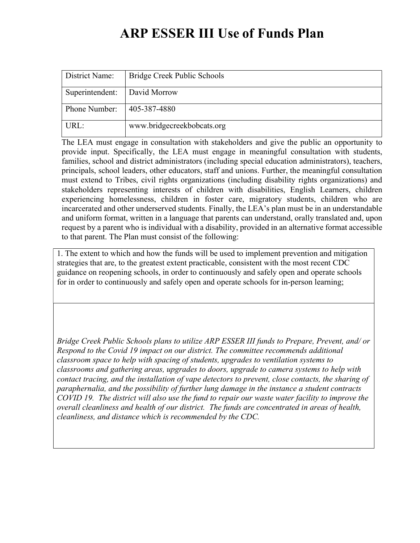## ARP ESSER III Use of Funds Plan

| District Name:  | Bridge Creek Public Schools |
|-----------------|-----------------------------|
| Superintendent: | David Morrow                |
| Phone Number:   | 405-387-4880                |
| URL:            | www.bridgecreekbobcats.org  |

The LEA must engage in consultation with stakeholders and give the public an opportunity to provide input. Specifically, the LEA must engage in meaningful consultation with students, families, school and district administrators (including special education administrators), teachers, principals, school leaders, other educators, staff and unions. Further, the meaningful consultation must extend to Tribes, civil rights organizations (including disability rights organizations) and stakeholders representing interests of children with disabilities, English Learners, children experiencing homelessness, children in foster care, migratory students, children who are incarcerated and other underserved students. Finally, the LEA's plan must be in an understandable and uniform format, written in a language that parents can understand, orally translated and, upon request by a parent who is individual with a disability, provided in an alternative format accessible to that parent. The Plan must consist of the following:

1. The extent to which and how the funds will be used to implement prevention and mitigation strategies that are, to the greatest extent practicable, consistent with the most recent CDC guidance on reopening schools, in order to continuously and safely open and operate schools for in order to continuously and safely open and operate schools for in-person learning;

Bridge Creek Public Schools plans to utilize ARP ESSER III funds to Prepare, Prevent, and/ or Respond to the Covid 19 impact on our district. The committee recommends additional classroom space to help with spacing of students, upgrades to ventilation systems to classrooms and gathering areas, upgrades to doors, upgrade to camera systems to help with contact tracing, and the installation of vape detectors to prevent, close contacts, the sharing of paraphernalia, and the possibility of further lung damage in the instance a student contracts COVID 19. The district will also use the fund to repair our waste water facility to improve the overall cleanliness and health of our district. The funds are concentrated in areas of health, cleanliness, and distance which is recommended by the CDC.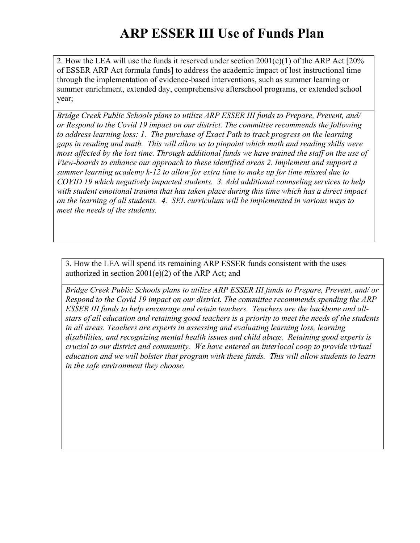## ARP ESSER III Use of Funds Plan

2. How the LEA will use the funds it reserved under section 2001(e)(1) of the ARP Act [20% of ESSER ARP Act formula funds] to address the academic impact of lost instructional time through the implementation of evidence-based interventions, such as summer learning or summer enrichment, extended day, comprehensive afterschool programs, or extended school year;

Bridge Creek Public Schools plans to utilize ARP ESSER III funds to Prepare, Prevent, and/ or Respond to the Covid 19 impact on our district. The committee recommends the following to address learning loss: 1. The purchase of Exact Path to track progress on the learning gaps in reading and math. This will allow us to pinpoint which math and reading skills were most affected by the lost time. Through additional funds we have trained the staff on the use of View-boards to enhance our approach to these identified areas 2. Implement and support a summer learning academy k-12 to allow for extra time to make up for time missed due to COVID 19 which negatively impacted students. 3. Add additional counseling services to help with student emotional trauma that has taken place during this time which has a direct impact on the learning of all students. 4. SEL curriculum will be implemented in various ways to meet the needs of the students.

3. How the LEA will spend its remaining ARP ESSER funds consistent with the uses authorized in section  $2001(e)(2)$  of the ARP Act; and

Bridge Creek Public Schools plans to utilize ARP ESSER III funds to Prepare, Prevent, and/ or Respond to the Covid 19 impact on our district. The committee recommends spending the ARP ESSER III funds to help encourage and retain teachers. Teachers are the backbone and allstars of all education and retaining good teachers is a priority to meet the needs of the students in all areas. Teachers are experts in assessing and evaluating learning loss, learning disabilities, and recognizing mental health issues and child abuse. Retaining good experts is crucial to our district and community. We have entered an interlocal coop to provide virtual education and we will bolster that program with these funds. This will allow students to learn in the safe environment they choose.